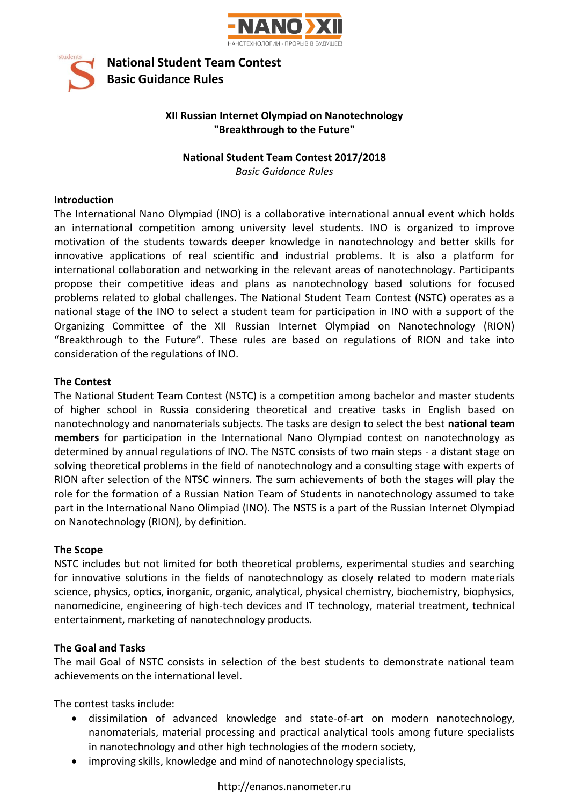

**National Student Team Contest Basic Guidance Rules**

## **XII Russian Internet Olympiad on Nanotechnology "Breakthrough to the Future"**

# **National Student Team Contest 2017/2018**

*Basic Guidance Rules*

### **Introduction**

student

The International Nano Olympiad (INO) is a collaborative international annual event which holds an international competition among university level students. INO is organized to improve motivation of the students towards deeper knowledge in nanotechnology and better skills for innovative applications of real scientific and industrial problems. It is also a platform for international collaboration and networking in the relevant areas of nanotechnology. Participants propose their competitive ideas and plans as nanotechnology based solutions for focused problems related to global challenges. The National Student Team Contest (NSTC) operates as a national stage of the INO to select a student team for participation in INO with a support of the Organizing Committee of the XII Russian Internet Olympiad on Nanotechnology (RION) "Breakthrough to the Future". These rules are based on regulations of RION and take into consideration of the regulations of INO.

### **The Contest**

The National Student Team Contest (NSTC) is a competition among bachelor and master students of higher school in Russia considering theoretical and creative tasks in English based on nanotechnology and nanomaterials subjects. The tasks are design to select the best **national team members** for participation in the International Nano Olympiad contest on nanotechnology as determined by annual regulations of INO. The NSTC consists of two main steps - a distant stage on solving theoretical problems in the field of nanotechnology and a consulting stage with experts of RION after selection of the NTSC winners. The sum achievements of both the stages will play the role for the formation of a Russian Nation Team of Students in nanotechnology assumed to take part in the International Nano Olimpiad (INO). The NSTS is a part of the Russian Internet Olympiad on Nanotechnology (RION), by definition.

### **The Scope**

NSTC includes but not limited for both theoretical problems, experimental studies and searching for innovative solutions in the fields of nanotechnology as closely related to modern materials science, physics, optics, inorganic, organic, analytical, physical chemistry, biochemistry, biophysics, nanomedicine, engineering of high-tech devices and IT technology, material treatment, technical entertainment, marketing of nanotechnology products.

# **The Goal and Tasks**

The mail Goal of NSTC consists in selection of the best students to demonstrate national team achievements on the international level.

The contest tasks include:

- dissimilation of advanced knowledge and state-of-art on modern nanotechnology, nanomaterials, material processing and practical analytical tools among future specialists in nanotechnology and other high technologies of the modern society,
- improving skills, knowledge and mind of nanotechnology specialists,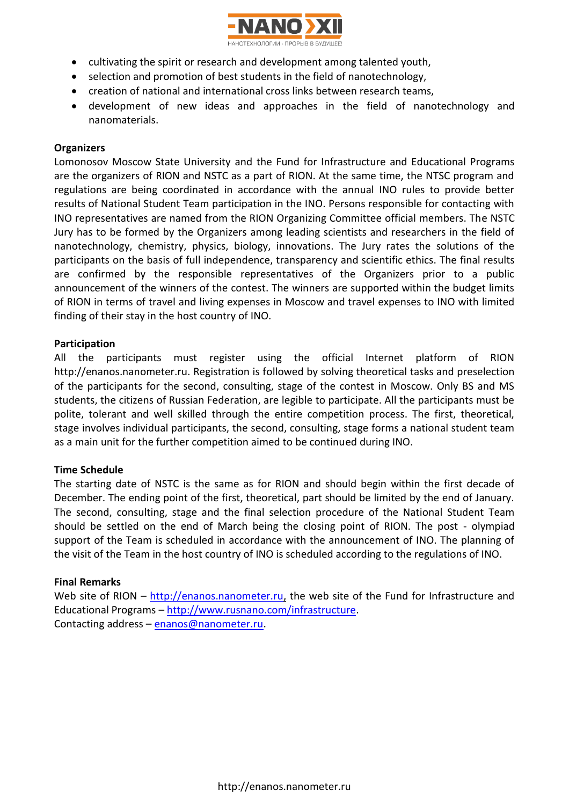

- cultivating the spirit or research and development among talented youth,
- selection and promotion of best students in the field of nanotechnology,
- creation of national and international cross links between research teams,
- development of new ideas and approaches in the field of nanotechnology and nanomaterials.

### **Organizers**

Lomonosov Moscow State University and the Fund for Infrastructure and Educational Programs are the organizers of RION and NSTC as a part of RION. At the same time, the NTSC program and regulations are being coordinated in accordance with the annual INO rules to provide better results of National Student Team participation in the INO. Persons responsible for contacting with INO representatives are named from the RION Organizing Committee official members. The NSTC Jury has to be formed by the Organizers among leading scientists and researchers in the field of nanotechnology, chemistry, physics, biology, innovations. The Jury rates the solutions of the participants on the basis of full independence, transparency and scientific ethics. The final results are confirmed by the responsible representatives of the Organizers prior to a public announcement of the winners of the contest. The winners are supported within the budget limits of RION in terms of travel and living expenses in Moscow and travel expenses to INO with limited finding of their stay in the host country of INO.

### **Participation**

All the participants must register using the official Internet platform of RION http://enanos.nanometer.ru. Registration is followed by solving theoretical tasks and preselection of the participants for the second, consulting, stage of the contest in Moscow. Only BS and MS students, the citizens of Russian Federation, are legible to participate. All the participants must be polite, tolerant and well skilled through the entire competition process. The first, theoretical, stage involves individual participants, the second, consulting, stage forms a national student team as a main unit for the further competition aimed to be continued during INO.

### **Time Schedule**

The starting date of NSTC is the same as for RION and should begin within the first decade of December. The ending point of the first, theoretical, part should be limited by the end of January. The second, consulting, stage and the final selection procedure of the National Student Team should be settled on the end of March being the closing point of RION. The post - olympiad support of the Team is scheduled in accordance with the announcement of INO. The planning of the visit of the Team in the host country of INO is scheduled according to the regulations of INO.

### **Final Remarks**

Web site of RION – [http://enanos.nanometer.ru,](http://www.nanometer.ru/) the web site of the Fund for Infrastructure and Educational Programs – [http://www.rusnano.com/infrastructure.](http://www.rusnano.com/infrastructure) Contacting address – [enanos@nanometer.ru.](mailto:enanos@nanometer.ru)